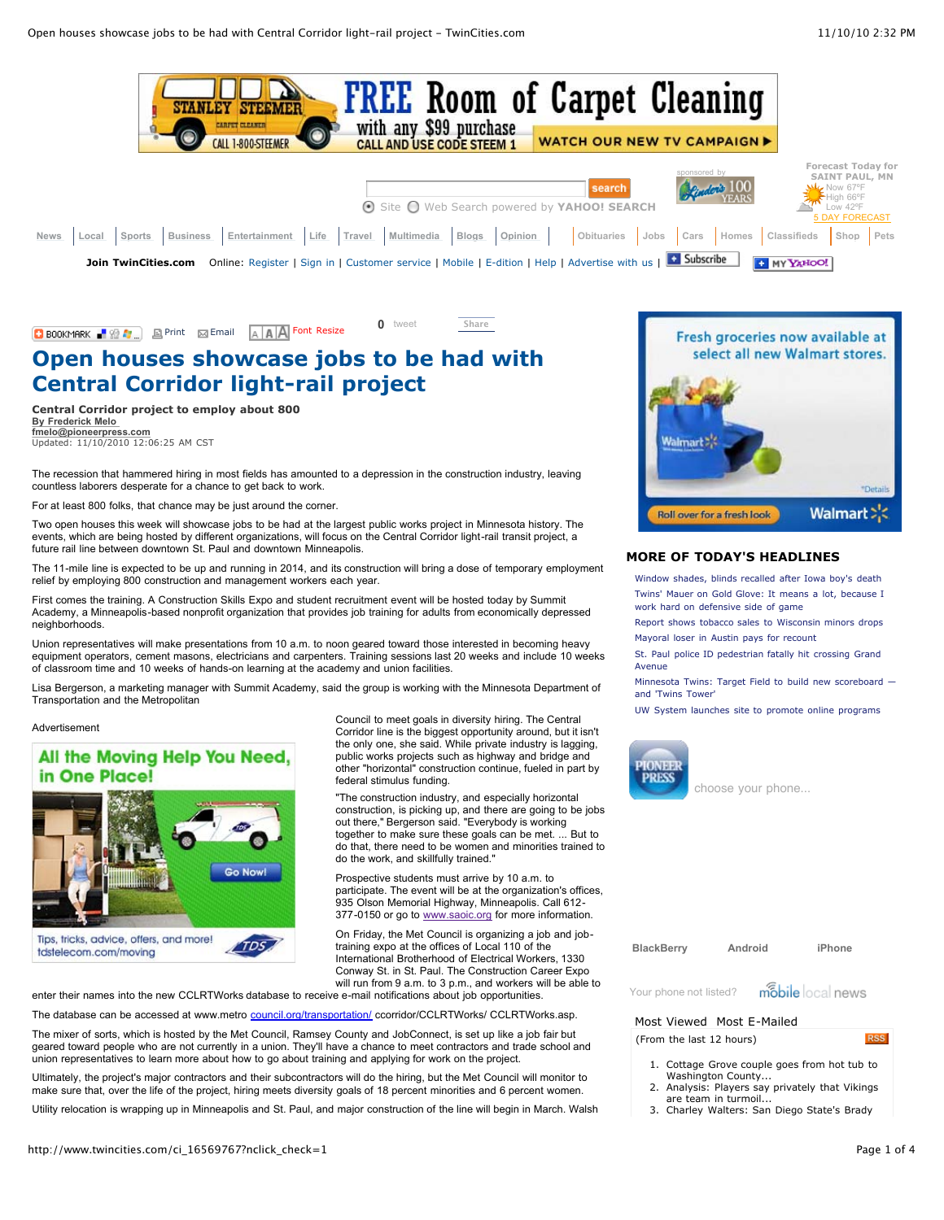

## **C** BOOKMARK **F**  $\Omega$  **F**  $\Omega$  **F**  $\Omega$  **External [Email](javascript:%20popup(%22email%22,%22/portlet/article/html/fragments/email_article.jsp?article=16569767&hostName=www.twincities.com§ion=/&siteId=569&siteName=TwinCities.com-Pioneer%20Press%22,600,400);) AAA** Font Resize

**[0](http://tweetmeme.com/story/3016492955/)** [tweet](JavaScript:%20popup();) **[Share](http://www.facebook.com/sharer.php?u=http%3A%2F%2Fwww.twincities.com%2Fci_16569767%3Fnclick_check%3D1&t=Open%20houses%20showcase%20jobs%20to%20be%20had%20with%20Central%20Corridor%20light-rail%20project%20-%20TwinCities.com&src=sp)**

# **Open houses showcase jobs to be had with Central Corridor light-rail project**

**Central Corridor project to employ about 800 By Frederick Melo [fmelo@pioneerpress.com](mailto:fmelo@pioneerpress.com?subject=TwinCities.com:%20Open%20houses%20showcase%20jobs%20to%20be%20had%20with%20Central%20Corridor%20light-rail%20project)** Updated: 11/10/2010 12:06:25 AM CST

The recession that hammered hiring in most fields has amounted to a depression in the construction industry, leaving countless laborers desperate for a chance to get back to work.

For at least 800 folks, that chance may be just around the corner.

Two open houses this week will showcase jobs to be had at the largest public works project in Minnesota history. The events, which are being hosted by different organizations, will focus on the Central Corridor light-rail transit project, a future rail line between downtown St. Paul and downtown Minneapolis.

The 11-mile line is expected to be up and running in 2014, and its construction will bring a dose of temporary employment relief by employing 800 construction and management workers each year.

First comes the training. A Construction Skills Expo and student recruitment event will be hosted today by Summit Academy, a Minneapolis-based nonprofit organization that provides job training for adults from economically depressed neighborhoods.

Union representatives will make presentations from 10 a.m. to noon geared toward those interested in becoming heavy equipment operators, cement masons, electricians and carpenters. Training sessions last 20 weeks and include 10 weeks of classroom time and 10 weeks of hands-on learning at the academy and union facilities.

Lisa Bergerson, a marketing manager with Summit Academy, said the group is working with the Minnesota Department of Transportation and the Metropolitan

Advertisement

# All the Moving Help You Need, in One Place!



Council to meet goals in diversity hiring. The Central Corridor line is the biggest opportunity around, but it isn't the only one, she said. While private industry is lagging, public works projects such as highway and bridge and other "horizontal" construction continue, fueled in part by federal stimulus funding.

"The construction industry, and especially horizontal construction, is picking up, and there are going to be jobs out there," Bergerson said. "Everybody is working together to make sure these goals can be met. ... But to do that, there need to be women and minorities trained to do the work, and skillfully trained."

Prospective students must arrive by 10 a.m. to participate. The event will be at the organization's offices, 935 Olson Memorial Highway, Minneapolis. Call 612 377-0150 or go to [www.saoic.org](http://www.saoic.org/) for more information.

On Friday, the Met Council is organizing a job and jobtraining expo at the offices of Local 110 of the International Brotherhood of Electrical Workers, 1330 Conway St. in St. Paul. The Construction Career Expo will run from 9 a.m. to 3 p.m., and workers will be able to

enter their names into the new CCLRTWorks database to receive e-mail notifications about job opportunities.

The database can be accessed at www.metro [council.org/transportation/](http://council.org/transportation/) ccorridor/CCLRTWorks/ CCLRTWorks.asp.

The mixer of sorts, which is hosted by the Met Council, Ramsey County and JobConnect, is set up like a job fair but geared toward people who are not currently in a union. They'll have a chance to meet contractors and trade school and union representatives to learn more about how to go about training and applying for work on the project.

Ultimately, the project's major contractors and their subcontractors will do the hiring, but the Met Council will monitor to make sure that, over the life of the project, hiring meets diversity goals of 18 percent minorities and 6 percent women.

Utility relocation is wrapping up in Minneapolis and St. Paul, and major construction of the line will begin in March. Walsh



### **[MORE OF TODAY'S HEADLINES](http://www.twincities.com/allheadlines)**

[Window shades, blinds recalled after Iowa boy's death](http://www.twincities.com/allheadlines/ci_16575011) [Twins' Mauer on Gold Glove: It means a lot, because I](http://www.twincities.com/allheadlines/ci_16575010) work hard on defensive side of game

[Report shows tobacco sales to Wisconsin minors drops](http://www.twincities.com/allheadlines/ci_16575006) [Mayoral loser in Austin pays for recount](http://www.twincities.com/allheadlines/ci_16574774)

[St. Paul police ID pedestrian fatally hit crossing Grand](http://www.twincities.com/allheadlines/ci_16574675) Avenue

[Minnesota Twins: Target Field to build new scoreboard](http://www.twincities.com/allheadlines/ci_16574645)  and 'Twins Tower'

[UW System launches site to promote online programs](http://www.twincities.com/allheadlines/ci_16574513)



choose your phone...

**[BlackBerry](http://widgets.mobilelocalnews.com/?uid=4282e231c7bc9306125de44b70ff7eed#ngo) [Android](http://widgets.mobilelocalnews.com/?uid=4282e231c7bc9306125de44b70ff7eed#ngo) [iPhone](http://widgets.mobilelocalnews.com/?uid=4282e231c7bc9306125de44b70ff7eed#ngo)**



[Most Viewed](javascript:void(0);) [Most E-Mailed](javascript:void(0);)

(From the last 12 hours)

[Your phone not listed?](http://widgets.mobilelocalnews.com/?uid=4282e231c7bc9306125de44b70ff7eed#ngo)

- **RSS**
- 1. [Cottage Grove couple goes from hot tub to](http://www.twincities.com/ci_16568712?source=most_viewed) Washington County...
- 2. [Analysis: Players say privately that Vikings](http://www.twincities.com/ci_16567886?source=most_viewed) are team in turmoil.
- 3. [Charley Walters: San Diego State's Brady](http://www.twincities.com/ci_16568773?source=most_viewed)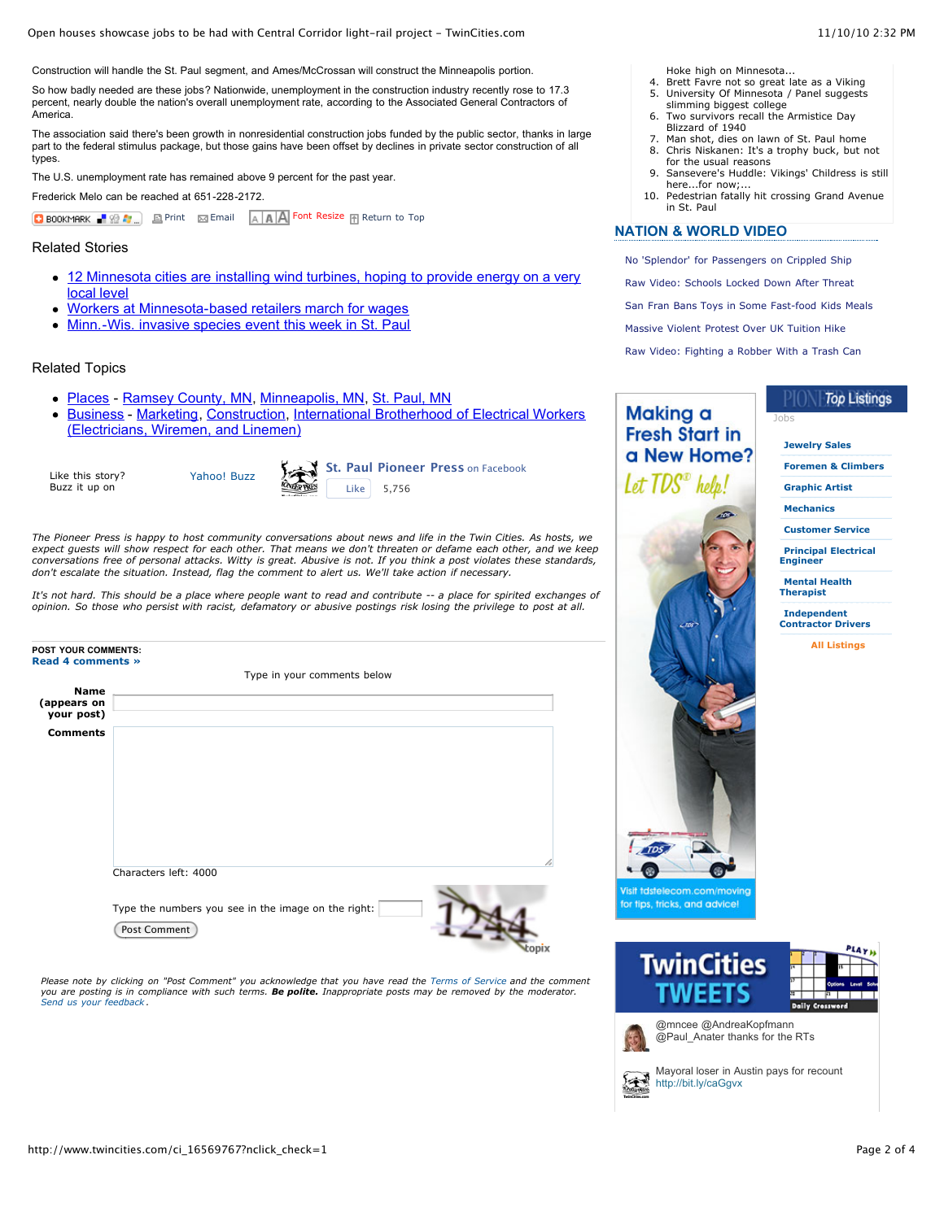Open houses showcase jobs to be had with Central Corridor light-rail project - TwinCities.com 11/10/10 2:32 PM

Construction will handle the St. Paul segment, and Ames/McCrossan will construct the Minneapolis portion.

So how badly needed are these jobs? Nationwide, unemployment in the construction industry recently rose to 17.3 percent, nearly double the nation's overall unemployment rate, according to the Associated General Contractors of America.

The association said there's been growth in nonresidential construction jobs funded by the public sector, thanks in large part to the federal stimulus package, but those gains have been offset by declines in private sector construction of all types.

The U.S. unemployment rate has remained above 9 percent for the past year.

Frederick Melo can be reached at 651-228-2172.

**D** BOOKMARK **R**  $\Omega$  **P**  $\Omega$  **External** [Email](javascript:%20popup(%22email%22,%22/portlet/article/html/fragments/email_article.jsp?article=16569767&hostName=www.twincities.com§ion=/&siteId=569&siteName=TwinCities.com-Pioneer%20Press%22,600,400);) **AAA** Font Resize **R** Return to Top

Related Stories

- [12 Minnesota cities are installing wind turbines, hoping to provide energy on a very](http://www.topix.com/r/04fWKWZfWfRorbcWYEMcYzI489Gt6yz9ObAoc7wT=2FlGUyNu=2FLO5mu9C=2FYBK=2BWSH5xf1qEOysZprbQS7=2BCW9fw4Crk5hHEvY5ZldRO5moldoc=3D) local level
- [Workers at Minnesota-based retailers march for wages](http://www.topix.com/r/04fWKWZfWfRorbcWYEMcYzI489Gt6yz9ObAoc7wT=2FlGUyNu=2FLO5mu9C=2FYBK=2BWSH5xzThdnS5z4=2B=2BgXfsnYFhnVvC2TPIZLtxztxNAQbqBC70=3D)
- [Minn.-Wis. invasive species event this week in St. Paul](http://www.topix.com/r/04fWKWZfWfRorbcWYEMcYzI489Gt6yz9ObAoc7wT=2FlGVQWpIwcpwcXk1zFpUyvM1e9r9HHXs7jxvBbtuwKwL3ktF6SmyrvlwJ0Vo3PchGBa=2BiP6T94G6nXC45XHSotb8=2B8eQSHTbJwyFDuJ4j3WsJug=3D=3D)

#### Related Topics

- [Places](http://www.topix.com/search/article?cat=world/world&co=1&p=2051&ph_ref=1&url=twincities%2Ecom) - [Ramsey County, MN,](http://www.topix.com/search/article?cat=county/ramsey-mn&co=1&p=2051&ph_ref=1&url=twincities%2Ecom) [Minneapolis, MN,](http://www.topix.com/search/article?cat=city/minneapolis-mn&co=1&p=2051&ph_ref=1&url=twincities%2Ecom) [St. Paul, MN](http://www.topix.com/search/article?cat=city/st-paul-mn&co=1&p=2051&ph_ref=1&url=twincities%2Ecom)
- [Business](http://www.topix.com/search/article?cat=business/business&co=1&p=2051&ph_ref=1&url=twincities%2Ecom)  [M](http://www.topix.com/search/article?cat=business/ibew&co=1&p=2051&ph_ref=1&url=twincities%2Ecom)[arketing](http://www.topix.com/search/article?cat=business/marketing&co=1&p=2051&ph_ref=1&url=twincities%2Ecom)[,](http://www.topix.com/search/article?cat=business/ibew&co=1&p=2051&ph_ref=1&url=twincities%2Ecom) [Constructio](http://www.topix.com/search/article?cat=business/construction&co=1&p=2051&ph_ref=1&url=twincities%2Ecom)[n, International Brotherhood of Electrical Workers](http://www.topix.com/search/article?cat=business/ibew&co=1&p=2051&ph_ref=1&url=twincities%2Ecom) (Electricians, Wiremen, and Linemen)

Like this story? Buzz it up on



**[St. Paul Pioneer Press](http://www.facebook.com/pages/St-Paul-Pioneer-Press/276896490404)** on Facebook  $Like$  5,756

*The Pioneer Press is happy to host community conversations about news and life in the Twin Cities. As hosts, we expect guests will show respect for each other. That means we don't threaten or defame each other, and we keep* conversations free of personal attacks. Witty is great. Abusive is not. If you think a post violates these standards,<br>don't escalate the situation. Instead, flag the comment to alert us. We'll take action if necessary.

*It's not hard. This should be a place where people want to read and contribute -- a place for spirited exchanges of opinion. So those who persist with racist, defamatory or abusive postings risk losing the privilege to post at all.*

|                                          | Type in your comments below                                         |
|------------------------------------------|---------------------------------------------------------------------|
| <b>Name</b><br>(appears on<br>your post) |                                                                     |
| <b>Comments</b>                          |                                                                     |
|                                          | Characters left: 4000                                               |
|                                          | Type the numbers you see in the image on the right:<br>Post Comment |

*Please note by clicking on "Post Comment" you acknowledge that you have read the [Terms of Service](http://www.topix.net/topix/terms) and the comment you are posting is in compliance with such terms. Be polite. Inappropriate posts may be removed by the moderator. [Send us your feedback](http://www.twincities.com/ci_16569767?nclick_check=1#) .*

[Hoke high on Minnesota...](http://www.twincities.com/ci_16568773?source=most_viewed)

- 4. [Brett Favre not so great late as a Viking](http://www.twincities.com/ci_16568300?source=most_viewed)<br>5. University Of Minnesota / Panel suggests [University Of Minnesota / Panel suggests](http://www.twincities.com/ci_16568279?source=most_viewed)
- slimming biggest college
- 6. [Two survivors recall the Armistice Day](http://www.twincities.com/ci_16568110?source=most_viewed) Blizzard of 1940
- 7. [Man shot, dies on lawn of St. Paul home](http://www.twincities.com/ci_16569775?source=most_viewed)<br>8. Chris Niskanen: It's a trophy buck, but r 8. [Chris Niskanen: It's a trophy buck, but not](http://www.twincities.com/ci_16564626?source=most_viewed)
- for the usual reasons 9. [Sansevere's Huddle: Vikings' Childress is still](http://www.twincities.com/ci_16564001?source=most_viewed)
- here...for now: 10. [Pedestrian fatally hit crossing Grand Avenue](http://www.twincities.com/ci_16568733?source=most_viewed) in St. Paul

#### **NATION & WORLD VIDEO**

Making a **Fresh Start in** a New Home? Let TDS<sup>®</sup> help!

[No 'Splendor' for Passengers on Crippled Ship](http://video.ap.org/?f=MNPAU&pid=OudhWcthtM5H8OBMqBEWiZOV8phamEQn&fg=rss) [Raw Video: Schools Locked Down After Threat](http://video.ap.org/?f=MNPAU&pid=R3BuL_wJTudRGk6n8ysufWLP4pmns_U_&fg=rss) [San Fran Bans Toys in Some Fast-food Kids Meals](http://video.ap.org/?f=MNPAU&pid=qr215NsAk1LO6RupEkPgH4B1E26H1EuP&fg=rss) [Massive Violent Protest Over UK Tuition Hike](http://video.ap.org/?f=MNPAU&pid=Lrg0dCuDue3ln_d2Qogbe2YDZrIJN4QE&fg=rss) [Raw Video: Fighting a Robber With a Trash Can](http://video.ap.org/?f=MNPAU&pid=V8VZIi_m2K99f_gy1WwdAOwTZ7q5WQ4e&fg=rss)

[Jobs](http://www.twincities.com/ci_16569767?nclick_check=1#)

## **Top Listings**

**[Jewelry Sales](http://www.twincities.com/ci_16569767?nclick_check=1#) [Foremen & Climbers](http://www.twincities.com/ci_16569767?nclick_check=1#) [Graphic Artist](http://www.twincities.com/ci_16569767?nclick_check=1#) [Mechanics](http://www.twincities.com/ci_16569767?nclick_check=1#) [Customer Service](http://www.twincities.com/ci_16569767?nclick_check=1#) [Principal Electrical](http://www.twincities.com/ci_16569767?nclick_check=1#) Engineer [Mental Health](http://www.twincities.com/ci_16569767?nclick_check=1#) Therapist**

**Independent [Contractor Drivers](http://www.twincities.com/ci_16569767?nclick_check=1#)**

**[All Listings](http://toplistings.twincities.com/alllistings)**



/isit tdstelecom.com/moving or fips, tricks, and advice!





[@](http://twitter.com/WarnersStellian)mncee @AndreaKopfmann @Paul\_Anater thanks for the RTs



[M](http://twitter.com/PioneerPress)ayoral loser in Austin pays for recount <http://bit.ly/caGgvx>